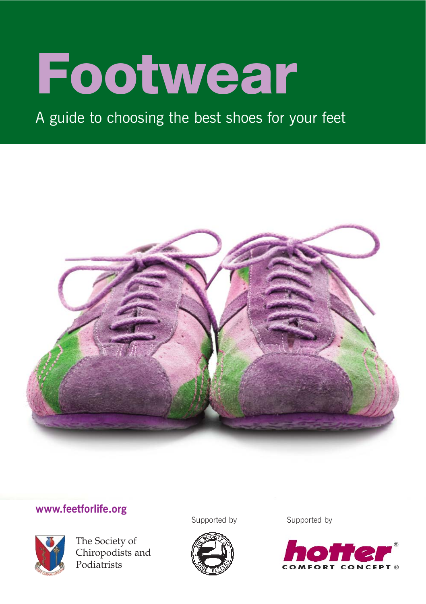# Footwear

### A guide to choosing the best shoes for your feet



#### **www.feetforlife.org**



The Society of Chiropodists and Podiatrists

Supported by Supported by



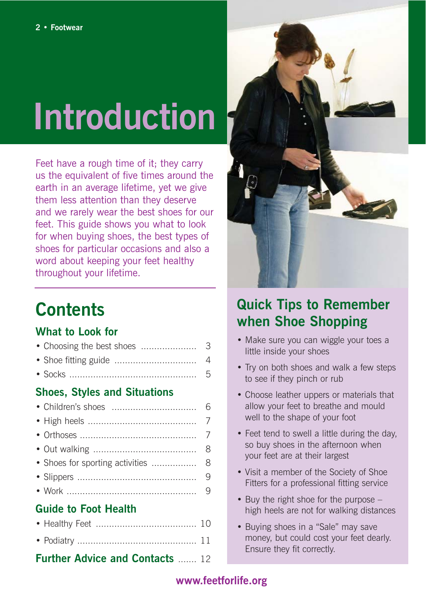## **Introduction**

Feet have a rough time of it; they carry us the equivalent of five times around the earth in an average lifetime, yet we give them less attention than they deserve and we rarely wear the best shoes for our feet. This guide shows you what to look for when buying shoes, the best types of shoes for particular occasions and also a word about keeping your feet healthy throughout your lifetime.

### **Contents**

#### **What to Look for**

| • Choosing the best shoes           | 3              |
|-------------------------------------|----------------|
|                                     | $\overline{4}$ |
|                                     | 5              |
| <b>Shoes, Styles and Situations</b> |                |
|                                     | 6              |
|                                     | $\overline{7}$ |
|                                     | $\overline{7}$ |
|                                     | 8              |
| • Shoes for sporting activities     | 8              |
|                                     | 9              |
|                                     | 9              |
| <b>Guide to Foot Health</b>         |                |

| <b>Further Advice and Contacts  12</b> |  |
|----------------------------------------|--|
|                                        |  |
|                                        |  |



### **Quick Tips to Remember when Shoe Shopping**

- Make sure you can wiggle your toes a little inside your shoes
- Try on both shoes and walk a few steps to see if they pinch or rub
- Choose leather uppers or materials that allow your feet to breathe and mould well to the shape of your foot
- Feet tend to swell a little during the day. so buy shoes in the afternoon when your feet are at their largest
- Visit a member of the Society of Shoe Fitters for a professional fitting service
- Buy the right shoe for the purpose high heels are not for walking distances
- Buying shoes in a "Sale" may save money, but could cost your feet dearly. Ensure they fit correctly.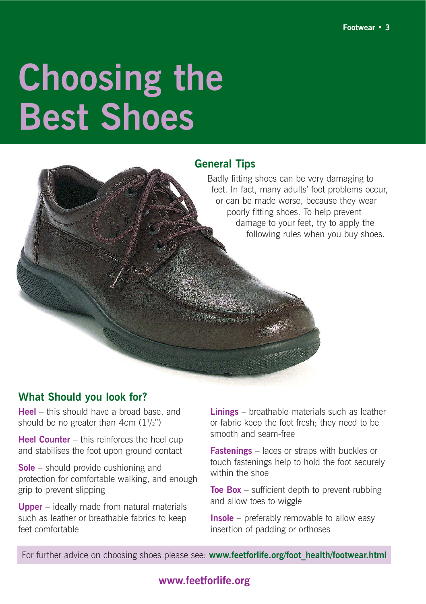## **Choosing the Best Shoes**

### **General Tips** Badly fitting shoes can be very damaging to feet. In fact, many adults' foot problems occur, or can be made worse, because they wear poorly fitting shoes. To help prevent damage to your feet, try to apply the following rules when you buy shoes.

#### **What Should you look for?**

**Heel** – this should have a broad base, and should be no greater than  $4cm (1<sup>1</sup>/2<sup>n</sup>)$ 

**Heel Counter** – this reinforces the heel cup and stabilises the foot upon ground contact

**Sole** – should provide cushioning and protection for comfortable walking, and enough grip to prevent slipping

**Upper** – ideally made from natural materials such as leather or breathable fabrics to keep feet comfortable

**Linings** – breathable materials such as leather or fabric keep the foot fresh; they need to be smooth and seam-free

**Fastenings** – laces or straps with buckles or touch fastenings help to hold the foot securely within the shoe

**Toe Box** – sufficient depth to prevent rubbing and allow toes to wiggle

**Insole** – preferably removable to allow easy insertion of padding or orthoses

For further advice on choosing shoes please see: www.feetforlife.org/foot\_health/footwear.html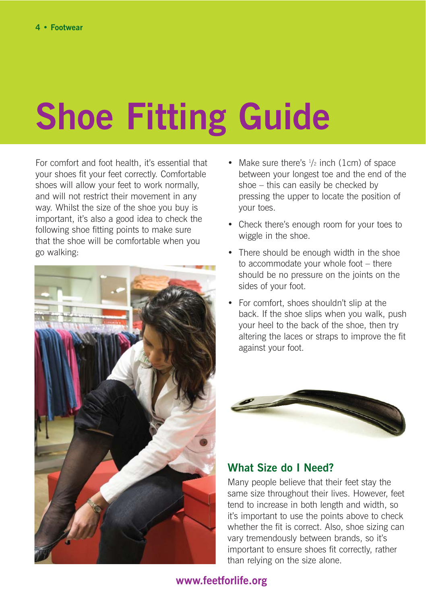## **Shoe Fitting Guide**

For comfort and foot health, it's essential that your shoes fit your feet correctly. Comfortable shoes will allow your feet to work normally, and will not restrict their movement in any way. Whilst the size of the shoe you buy is important, it's also a good idea to check the following shoe fitting points to make sure that the shoe will be comfortable when you go walking:



- Make sure there's  $\frac{1}{2}$  inch (1cm) of space between your longest toe and the end of the shoe – this can easily be checked by pressing the upper to locate the position of your toes.
- Check there's enough room for your toes to wiggle in the shoe.
- There should be enough width in the shoe to accommodate your whole foot – there should be no pressure on the joints on the sides of your foot.
- For comfort, shoes shouldn't slip at the back. If the shoe slips when you walk, push your heel to the back of the shoe, then try altering the laces or straps to improve the fit against your foot.



#### **What Size do I Need?**

Many people believe that their feet stay the same size throughout their lives. However, feet tend to increase in both length and width, so it's important to use the points above to check whether the fit is correct. Also, shoe sizing can vary tremendously between brands, so it's important to ensure shoes fit correctly, rather than relying on the size alone.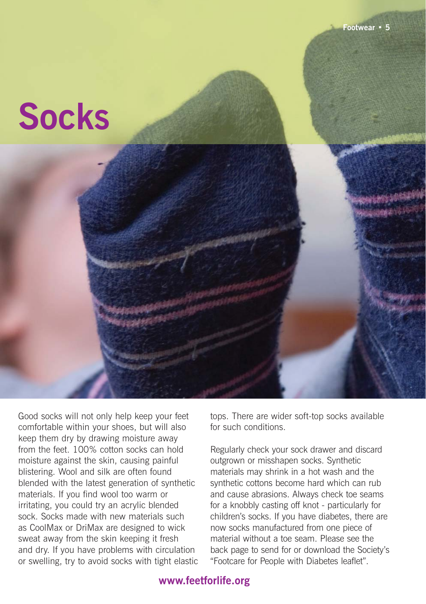### **Socks**

Good socks will not only help keep your feet comfortable within your shoes, but will also keep them dry by drawing moisture away from the feet. 100% cotton socks can hold moisture against the skin, causing painful blistering. Wool and silk are often found blended with the latest generation of synthetic materials. If you find wool too warm or irritating, you could try an acrylic blended sock. Socks made with new materials such as CoolMax or DriMax are designed to wick sweat away from the skin keeping it fresh and dry. If you have problems with circulation or swelling, try to avoid socks with tight elastic tops. There are wider soft-top socks available for such conditions.

Regularly check your sock drawer and discard outgrown or misshapen socks. Synthetic materials may shrink in a hot wash and the synthetic cottons become hard which can rub and cause abrasions. Always check toe seams for a knobbly casting off knot - particularly for children's socks. If you have diabetes, there are now socks manufactured from one piece of material without a toe seam. Please see the back page to send for or download the Society's "Footcare for People with Diabetes leaflet".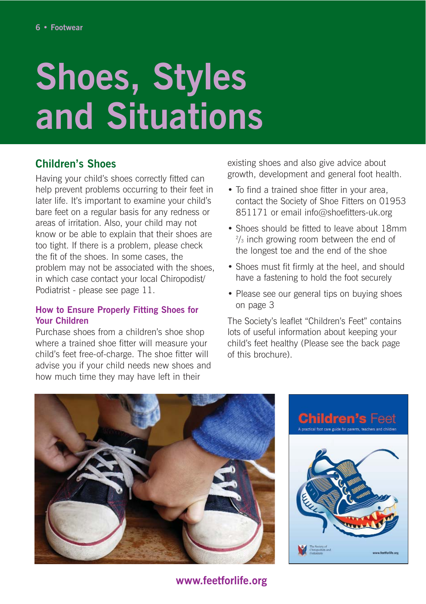## **Shoes, Styles and Situations**

#### **Children's Shoes**

Having your child's shoes correctly fitted can help prevent problems occurring to their feet in later life. It's important to examine your child's bare feet on a regular basis for any redness or areas of irritation. Also, your child may not know or be able to explain that their shoes are too tight. If there is a problem, please check the fit of the shoes. In some cases, the problem may not be associated with the shoes, in which case contact your local Chiropodist/ Podiatrist - please see page 11.

#### **How to Ensure Properly Fitting Shoes for Your Children**

Purchase shoes from a children's shoe shop where a trained shoe fitter will measure your child's feet free-of-charge. The shoe fitter will advise you if your child needs new shoes and how much time they may have left in their

existing shoes and also give advice about growth, development and general foot health.

- To find a trained shoe fitter in your area, contact the Society of Shoe Fitters on 01953 851171 or email info@shoefitters-uk.org
- Shoes should be fitted to leave about 18mm 2 /3 inch growing room between the end of the longest toe and the end of the shoe
- Shoes must fit firmly at the heel, and should have a fastening to hold the foot securely
- Please see our general tips on buving shoes on page 3

The Society's leaflet "Children's Feet" contains lots of useful information about keeping your child's feet healthy (Please see the back page of this brochure).



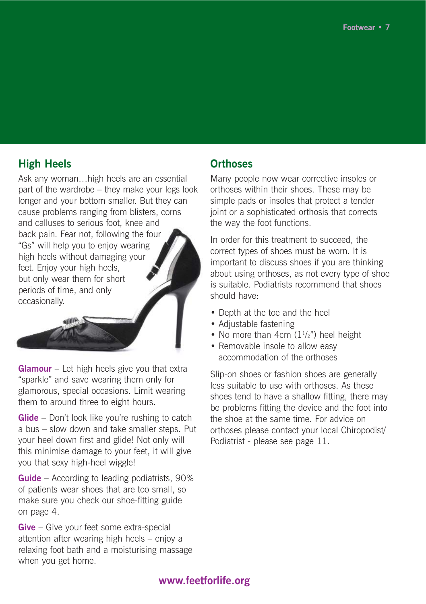#### **High Heels**

Ask any woman…high heels are an essential part of the wardrobe – they make your legs look longer and your bottom smaller. But they can cause problems ranging from blisters, corns and calluses to serious foot, knee and back pain. Fear not, following the four "Gs" will help you to enjoy wearing high heels without damaging your feet. Enjoy your high heels, but only wear them for short periods of time, and only occasionally.

**Glamour** – Let high heels give you that extra "sparkle" and save wearing them only for glamorous, special occasions. Limit wearing them to around three to eight hours.

**Glide** – Don't look like you're rushing to catch a bus – slow down and take smaller steps. Put your heel down first and glide! Not only will this minimise damage to your feet, it will give you that sexy high-heel wiggle!

**Guide** – According to leading podiatrists, 90% of patients wear shoes that are too small, so make sure you check our shoe-fitting guide on page 4.

**Give** – Give your feet some extra-special attention after wearing high heels – enjoy a relaxing foot bath and a moisturising massage when you get home.

#### **Orthoses**

Many people now wear corrective insoles or orthoses within their shoes. These may be simple pads or insoles that protect a tender joint or a sophisticated orthosis that corrects the way the foot functions.

In order for this treatment to succeed, the correct types of shoes must be worn. It is important to discuss shoes if you are thinking about using orthoses, as not every type of shoe is suitable. Podiatrists recommend that shoes should have:

- Depth at the toe and the heel
- Adjustable fastening
- No more than  $4cm$  ( $1\frac{1}{2}$ ") heel height
- Removable insole to allow easy accommodation of the orthoses

Slip-on shoes or fashion shoes are generally less suitable to use with orthoses. As these shoes tend to have a shallow fitting, there may be problems fitting the device and the foot into the shoe at the same time. For advice on orthoses please contact your local Chiropodist/ Podiatrist - please see page 11.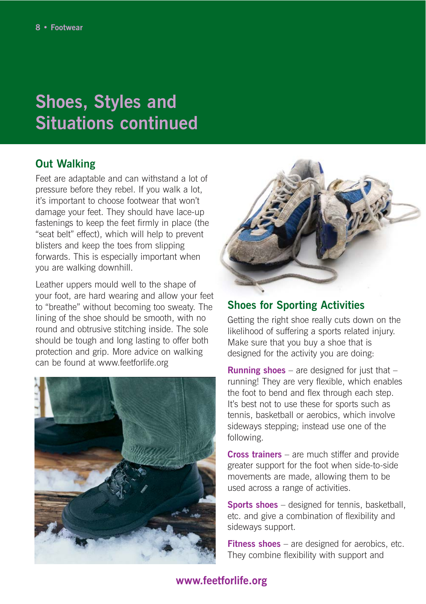### **Shoes, Styles and Situations continued**

#### **Out Walking**

Feet are adaptable and can withstand a lot of pressure before they rebel. If you walk a lot, it's important to choose footwear that won't damage your feet. They should have lace-up fastenings to keep the feet firmly in place (the "seat belt" effect), which will help to prevent blisters and keep the toes from slipping forwards. This is especially important when you are walking downhill.

Leather uppers mould well to the shape of your foot, are hard wearing and allow your feet to "breathe" without becoming too sweaty. The lining of the shoe should be smooth, with no round and obtrusive stitching inside. The sole should be tough and long lasting to offer both protection and grip. More advice on walking can be found at www.feetforlife.org





#### **Shoes for Sporting Activities**

Getting the right shoe really cuts down on the likelihood of suffering a sports related injury. Make sure that you buy a shoe that is designed for the activity you are doing:

**Running shoes** – are designed for just that – running! They are very flexible, which enables the foot to bend and flex through each step. It's best not to use these for sports such as tennis, basketball or aerobics, which involve sideways stepping; instead use one of the following.

**Cross trainers** – are much stiffer and provide greater support for the foot when side-to-side movements are made, allowing them to be used across a range of activities.

**Sports shoes** – designed for tennis, basketball, etc. and give a combination of flexibility and sideways support.

**Fitness shoes** – are designed for aerobics, etc. They combine flexibility with support and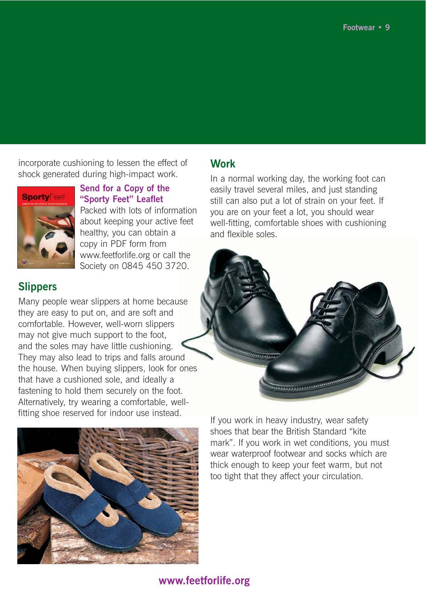incorporate cushioning to lessen the effect of shock generated during high-impact work.



**Send for a Copy of the "Sporty Feet" Leaflet**  Packed with lots of information about keeping your active feet healthy, you can obtain a copy in PDF form from www.feetforlife.org or call the Society on 0845 450 3720.

#### **Slippers**

Many people wear slippers at home because they are easy to put on, and are soft and comfortable. However, well-worn slippers may not give much support to the foot, and the soles may have little cushioning. They may also lead to trips and falls around the house. When buying slippers, look for ones that have a cushioned sole, and ideally a fastening to hold them securely on the foot. Alternatively, try wearing a comfortable, wellfitting shoe reserved for indoor use instead.



#### **Work**

In a normal working day, the working foot can easily travel several miles, and just standing still can also put a lot of strain on your feet. If you are on your feet a lot, you should wear well-fitting, comfortable shoes with cushioning and flexible soles.



If you work in heavy industry, wear safety shoes that bear the British Standard "kite mark". If you work in wet conditions, you must wear waterproof footwear and socks which are thick enough to keep your feet warm, but not too tight that they affect your circulation.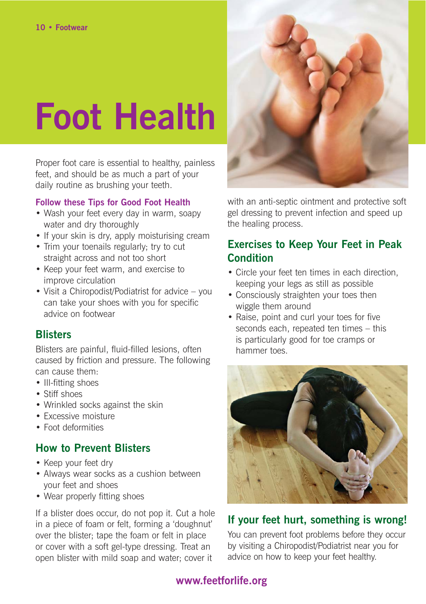## **Foot Health**

Proper foot care is essential to healthy, painless feet, and should be as much a part of your daily routine as brushing your teeth.

#### **Follow these Tips for Good Foot Health**

- Wash your feet every day in warm, soapy water and dry thoroughly
- If your skin is dry, apply moisturising cream
- Trim your toenails regularly; try to cut straight across and not too short
- Keep your feet warm, and exercise to improve circulation
- Visit a Chiropodist/Podiatrist for advice you can take your shoes with you for specific advice on footwear

#### **Blisters**

Blisters are painful, fluid-filled lesions, often caused by friction and pressure. The following can cause them:

- Ill-fitting shoes
- Stiff shoes
- Wrinkled socks against the skin
- Excessive moisture
- Foot deformities

#### **How to Prevent Blisters**

- Keep your feet dry
- Always wear socks as a cushion between your feet and shoes
- Wear properly fitting shoes

If a blister does occur, do not pop it. Cut a hole in a piece of foam or felt, forming a 'doughnut' over the blister; tape the foam or felt in place or cover with a soft gel-type dressing. Treat an open blister with mild soap and water; cover it



with an anti-septic ointment and protective soft gel dressing to prevent infection and speed up the healing process.

#### **Exercises to Keep Your Feet in Peak Condition**

- Circle your feet ten times in each direction, keeping your legs as still as possible
- Consciously straighten your toes then wiggle them around
- Raise, point and curl your toes for five seconds each, repeated ten times – this is particularly good for toe cramps or hammer toes.



#### **If your feet hurt, something is wrong!**

You can prevent foot problems before they occur by visiting a Chiropodist/Podiatrist near you for advice on how to keep your feet healthy.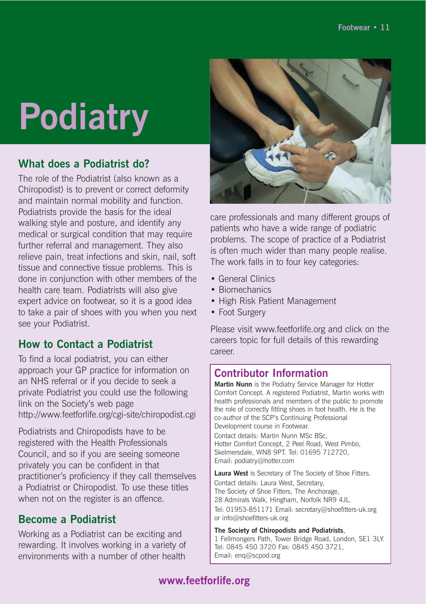## **Podiatry**

#### **What does a Podiatrist do?**

The role of the Podiatrist (also known as a Chiropodist) is to prevent or correct deformity and maintain normal mobility and function. Podiatrists provide the basis for the ideal walking style and posture, and identify any medical or surgical condition that may require further referral and management. They also relieve pain, treat infections and skin, nail, soft tissue and connective tissue problems. This is done in conjunction with other members of the health care team. Podiatrists will also give expert advice on footwear, so it is a good idea to take a pair of shoes with you when you next see your Podiatrist.

#### **How to Contact a Podiatrist**

To find a local podiatrist, you can either approach your GP practice for information on an NHS referral or if you decide to seek a private Podiatrist you could use the following link on the Society's web page http://www.feetforlife.org/cgi-site/chiropodist.cgi

Podiatrists and Chiropodists have to be registered with the Health Professionals Council, and so if you are seeing someone privately you can be confident in that practitioner's proficiency if they call themselves a Podiatrist or Chiropodist. To use these titles when not on the register is an offence.

#### **Become a Podiatrist**

Working as a Podiatrist can be exciting and rewarding. It involves working in a variety of environments with a number of other health



care professionals and many different groups of patients who have a wide range of podiatric problems. The scope of practice of a Podiatrist is often much wider than many people realise. The work falls in to four key categories:

- General Clinics
- Biomechanics
- High Risk Patient Management
- Foot Surgery

Please visit www.feetforlife.org and click on the careers topic for full details of this rewarding career.

#### **Contributor Information**

**Martin Nunn** is the Podiatry Service Manager for Hotter Comfort Concept. A registered Podiatrist, Martin works with health professionals and members of the public to promote the role of correctly fitting shoes in foot health. He is the co-author of the SCP's Continuing Professional Development course in Footwear.

Contact details: Martin Nunn MSc BSc, Hotter Comfort Concept, 2 Peel Road, West Pimbo, Skelmersdale, WN8 9PT. Tel: 01695 712720, Email: podiatry@hotter.com

**Laura West** is Secretary of The Society of Shoe Fitters. Contact details: Laura West, Secretary, The Society of Shoe Fitters, The Anchorage, 28 Admirals Walk, Hingham, Norfolk NR9 4JL. Tel: 01953-851171 Email: secretary@shoefitters-uk.org or info@shoefitters-uk.org

**The Society of Chiropodists and Podiatrists**, 1 Fellmongers Path, Tower Bridge Road, London, SE1 3LY. Tel: 0845 450 3720 Fax: 0845 450 3721, Email: enq@scpod.org